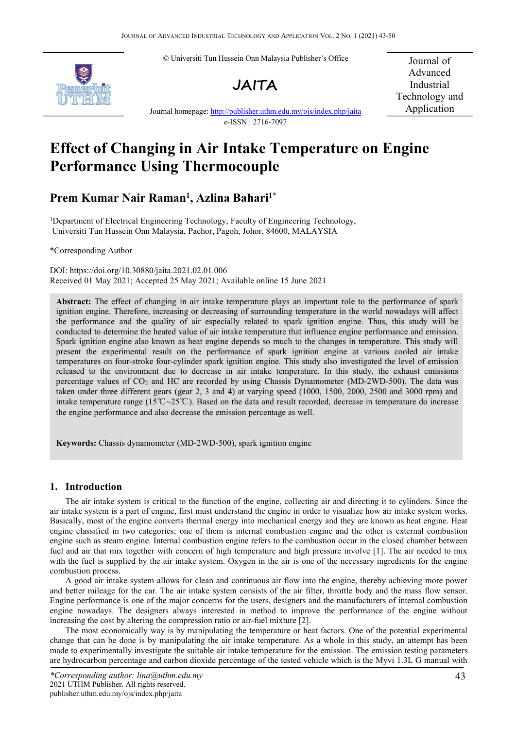© Universiti Tun Hussein Onn Malaysia Publisher's Office





Journal of Advanced Industrial Technology and Application

Journal homepage: <http://publisher.uthm.edu.my/ojs/index.php/jaita> e-ISSN : 2716-7097

# **Effect of Changing in Air Intake Temperature on Engine Performance Using Thermocouple**

# **Prem Kumar Nair Raman 1 , Azlina Bahari1\***

<sup>1</sup>Department of Electrical Engineering Technology, Faculty of Engineering Technology, Universiti Tun Hussein Onn Malaysia, Pachor, Pagoh, Johor, 84600, MALAYSIA

\*Corresponding Author

DOI: https://doi.org/10.30880/jaita.2021.02.01.006 Received 01 May 2021; Accepted 25 May 2021; Available online 15 June 2021

**Abstract:** The effect of changing in air intake temperature plays an important role to the performance of spark ignition engine. Therefore, increasing or decreasing of surrounding temperature in the world nowadays will affect the performance and the quality of air especially related to spark ignition engine. Thus, this study will be conducted to determine the heated value of air intake temperature that influence engine performance and emission. Spark ignition engine also known as heat engine depends so much to the changes in temperature. This study will present the experimental result on the performance of spark ignition engine at various cooled air intake temperatures on four-stroke four-cylinder spark ignition engine. This study also investigated the level of emission released to the environment due to decrease in air intake temperature. In this study, the exhaust emissions percentage values of CO<sup>2</sup> and HC are recorded by using Chassis Dynamometer (MD-2WD-500). The data was taken under three different gears (gear 2, 3 and 4) atvarying speed (1000, 1500, 2000, 2500 and 3000 rpm) and intake temperature range (15℃~25℃). Based on the data and result recorded, decrease in temperature do increase the engine performance and also decrease the emission percentage as well.

**Keywords:** Chassis dynamometer (MD-2WD-500), spark ignition engine

## **1. Introduction**

The air intake system is critical to the function of the engine, collecting air and directing it to cylinders. Since the air intake system is a part of engine, first must understand the engine in order to visualize how air intake system works. Basically, most of the engine converts thermal energy into mechanical energy and they are known as heat engine. Heat engine classified in two categories; one of them is internal combustion engine and the other is external combustion engine such as steam engine. Internal combustion engine refers to the combustion occur in the closed chamber between fuel and air that mix together with concern of high temperature and high pressure involve [1]. The air needed to mix with the fuel is supplied by the air intake system. Oxygen in the air is one of the necessary ingredients for the engine combustion process.

A good air intake system allows for clean and continuous air flow into the engine, thereby achieving more power and better mileage for the car. The air intake system consists of the air filter, throttle body and the mass flow sensor. Engine performance is one of the major concerns for the users, designers and the manufacturers of internal combustion engine nowadays. The designers always interested in method to improve the performance of the engine without increasing the cost by altering the compression ratio or air-fuel mixture [2].

The most economically way is by manipulating the temperature or heat factors. One of the potential experimental change that can be done isby manipulating the air intake temperature. As a whole in this study, an attempt has been made to experimentally investigate the suitable air intake temperature for the emission. The emission testing parameters are hydrocarbon percentage and carbon dioxide percentage of the tested vehicle which is the Myvi 1.3L G manual with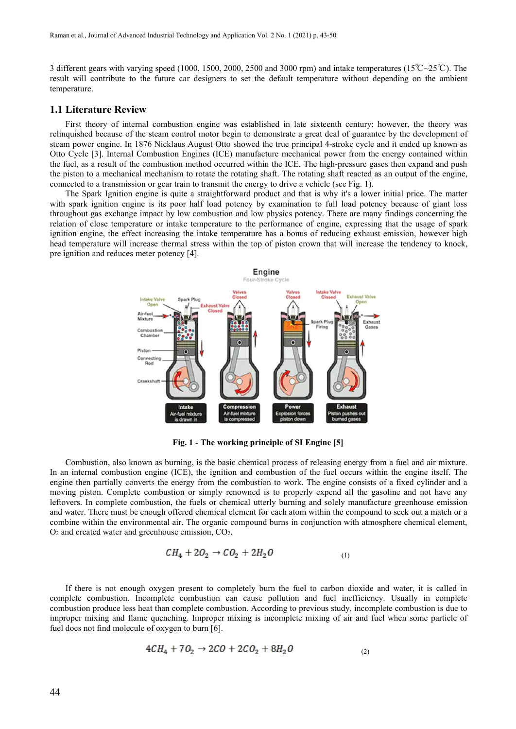3 different gears with varying speed (1000, 1500, 2000, 2500 and 3000 rpm) and intake temperatures (15℃~25℃). The result will contribute to the future car designers to set the default temperature without depending on the ambient temperature.

#### **1.1 Literature Review**

First theory of internal combustion engine was established in late sixteenth century; however, the theory was relinquished because of the steam control motor begin to demonstrate a great deal of guarantee by the development of steam power engine. In 1876 Nicklaus August Otto showed the true principal 4-stroke cycle and it ended up known as Otto Cycle [3]. Internal Combustion Engines (ICE) manufacture mechanical power from the energy contained within the fuel, as a result of the combustion method occurred within the ICE. The high-pressure gases then expand and push the piston to a mechanical mechanism to rotate the rotating shaft. The rotating shaft reacted as an output of the engine, connected to a transmission or gear train to transmit the energy to drive a vehicle (see Fig.1).

The Spark Ignition engine is quite a straightforward product and that is why it's a lower initial price. The matter with spark ignition engine is its poor half load potency by examination to full load potency because of giant loss throughout gas exchange impact by low combustion and low physics potency. There are many findings concerning the relation of close temperature or intake temperature to the performance of engine, expressing that the usage of spark ignition engine, the effect increasing the intake temperature has a bonus of reducing exhaust emission, however high head temperature will increase thermal stress within the top of piston crown that will increase the tendency to knock, pre ignition and reduces meter potency [4].



**Fig. 1 - The working principle of SI Engine [5]**

Combustion, also known as burning, is the basic chemical process of releasing energy from a fuel and air mixture. In an internal combustion engine (ICE), the ignition and combustion of the fuel occurs within the engine itself. The engine then partially converts the energy from the combustion to work. The engine consists of a fixed cylinder and a moving piston. Complete combustion or simply renowned is to properly expend all the gasoline and not have any leftovers. In complete combustion, the fuels or chemical utterly burning and solely manufacture greenhouse emission and water. There must be enough offered chemical element for each atom within the compound to seek out a match or a combine within the environmental air. The organic compound burns in conjunction with atmosphere chemical element,  $O<sub>2</sub>$  and created water and greenhouse emission,  $CO<sub>2</sub>$ .

$$
CH_4 + 2O_2 \rightarrow CO_2 + 2H_2O \tag{1}
$$

If there is not enough oxygen present to completely burn the fuel to carbon dioxide and water, it is called in complete combustion. Incomplete combustion can cause pollution and fuel inefficiency. Usually in complete combustion produce less heat than complete combustion. According to previous study, incomplete combustion is due to improper mixing and flame quenching. Improper mixing is incomplete mixing of air and fuel when some particle of fuel does not find molecule of oxygen to burn [6].

$$
4CH_4 + 7O_2 \rightarrow 2CO + 2CO_2 + 8H_2O \tag{2}
$$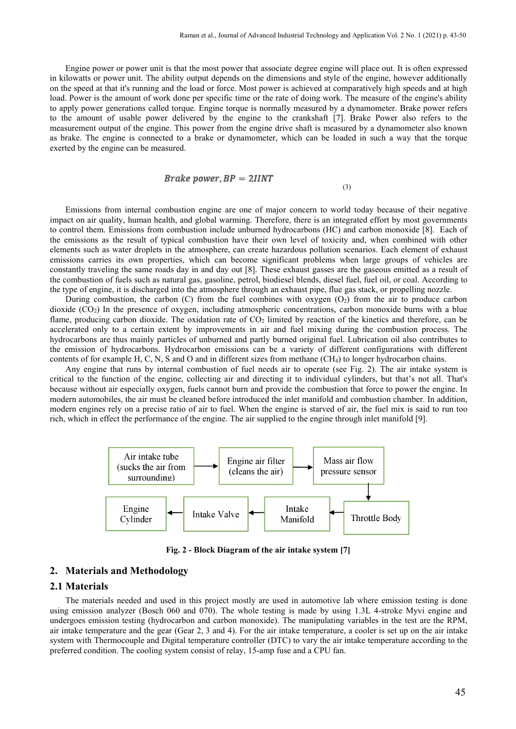Engine power or power unit is that the most power that associate degree engine will place out. It is often expressed in kilowatts or power unit. The ability output depends on the dimensions and style of the engine, however additionally on the speed at that it's running and the load or force. Most power is achieved at comparatively high speeds and at high load. Power is the amount of work done per specific time or the rate of doing work. The measure of the engine's ability to apply power generations called torque. Engine torque is normally measured by a dynamometer. Brake power refers to the amount of usable power delivered by the engine to the crankshaft [7]. Brake Power also refers to the measurement output of the engine. This power from the engine drive shaft is measured by a dynamometer also known as brake. The engine isconnected to a brake or dynamometer, which can be loaded in such a way that the torque exerted by the engine can be measured.

$$
Brake\ power, BP=2IINT
$$

(3)

Emissions from internal combustion engine are one of major concern to world today because of their negative impact on air quality, human health, and global warming. Therefore, there is an integrated effort by most governments to control them. Emissions from combustion include unburned hydrocarbons (HC) and carbon monoxide [8]. Each of the emissions as the result of typical combustion have their own level of toxicity and, when combined with other elements such as water droplets in the atmosphere, can create hazardous pollution scenarios. Each element of exhaust emissions carries its own properties, which can become significant problems when large groups of vehicles are constantly traveling the same roads day in and day out [8]. These exhaust gasses are the gaseous emitted as a result of the combustion of fuels such as natural gas, gasoline, petrol, biodiesel blends, diesel fuel, fuel oil, or coal. According to the type of engine, it is discharged into the atmosphere through an exhaust pipe, flue gas stack, or propelling nozzle.

During combustion, the carbon (C) from the fuel combines with oxygen  $(O_2)$  from the air to produce carbon dioxide (CO2) In the presence of oxygen, including atmospheric concentrations, carbon monoxide burns with a blue flame, producing carbon dioxide. The oxidation rate of  $CO<sub>2</sub>$  limited by reaction of the kinetics and therefore, can be accelerated only to a certain extent by improvements in air and fuel mixing during the combustion process. The hydrocarbons are thus mainly particles of unburned and partly burned original fuel. Lubrication oil also contributes to the emission of hydrocarbons. Hydrocarbon emissions can be a variety of different configurations with different contents of for example H, C, N, S and O and in different sizes from methane  $(CH<sub>4</sub>)$  to longer hydrocarbon chains.

Any engine that runs by internal combustion of fuel needs air to operate (see Fig. 2). The air intake system is critical to the function of the engine, collecting air and directing it to individual cylinders, but that's not all. That's because without air especially oxygen, fuels cannot burn and provide the combustion that force to power the engine. In modern automobiles, the air must be cleaned before introduced the inlet manifold and combustion chamber. In addition, modern engines rely on a precise ratio of air to fuel. When the engine is starved of air, the fuel mix is said to run too rich, which in effect the performance of the engine. The air supplied to the engine through inlet manifold [9].



**Fig. 2 - Block Diagram of the air intake system [7]**

#### **2. Materials and Methodology**

#### **2.1 Materials**

The materials needed and used in this project mostly are used in automotive lab where emission testing is done using emission analyzer (Bosch 060 and 070). The whole testing is made by using 1.3L 4-stroke Myvi engine and undergoes emission testing (hydrocarbon and carbon monoxide). The manipulating variables in the test are the RPM, air intake temperature and the gear(Gear 2, 3 and 4). For the air intake temperature, a cooler is set up on the air intake system with Thermocouple and Digital temperature controller (DTC) to vary the air intake temperature according to the preferred condition. The cooling system consist of relay, 15-amp fuse and a CPU fan.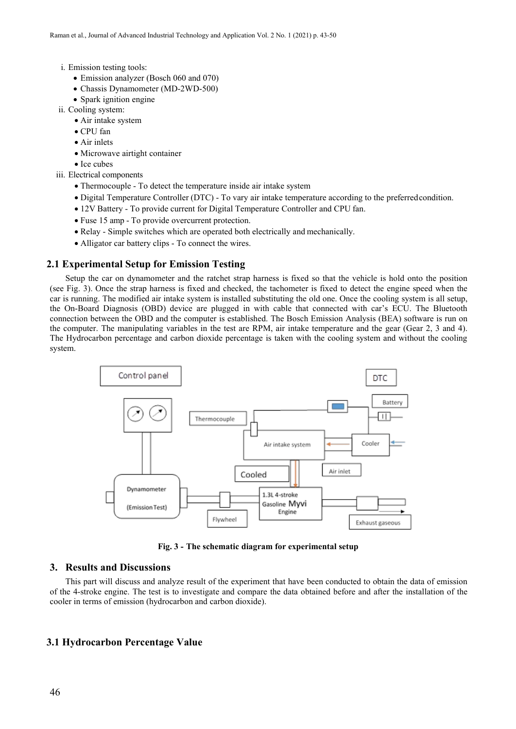- i. Emission testing tools:
	- Emission analyzer (Bosch 060 and 070)
	- Chassis Dynamometer (MD-2WD-500)
	- Spark ignition engine
- ii. Cooling system:
	- Air intake system
	- CPU fan
	- Air inlets
	- Microwave airtight container
	- Ice cubes
- iii. Electrical components
	- Thermocouple To detect the temperature inside air intake system
	- Digital Temperature Controller (DTC) To vary air intake temperature according to the preferredcondition.
	- 12V Battery To provide current for Digital Temperature Controller and CPU fan.
	- Fuse 15 amp To provide overcurrent protection.
	- Relay Simple switches which are operated both electrically and mechanically.
	- Alligator car battery clips To connect the wires.

#### **2.1 Experimental Setup for Emission Testing**

Setup the car on dynamometer and the ratchet strap harness is fixed so that the vehicle is hold onto the position (see Fig. 3). Once the strap harness is fixed and checked, the tachometer is fixed to detect the engine speed when the car is running. The modified air intake system is installed substituting the old one. Once the cooling system is all setup, the On-Board Diagnosis (OBD) device are plugged in with cable that connected with car's ECU. The Bluetooth connection between the OBD and the computer is established. The Bosch Emission Analysis (BEA) software is run on the computer. The manipulating variables in the test are RPM, air intake temperature and the gear(Gear 2, 3 and 4). The Hydrocarbon percentage and carbon dioxide percentage is taken with the cooling system and without the cooling system.



**Fig. 3 - The schematic diagram for experimental setup**

#### **3. Results and Discussions**

This part will discuss and analyze result of the experiment that have been conducted to obtain the data of emission of the 4-stroke engine. The test is to investigate and compare the data obtained before and after the installation of the cooler in terms of emission (hydrocarbon and carbon dioxide).

## **3.1 Hydrocarbon Percentage Value**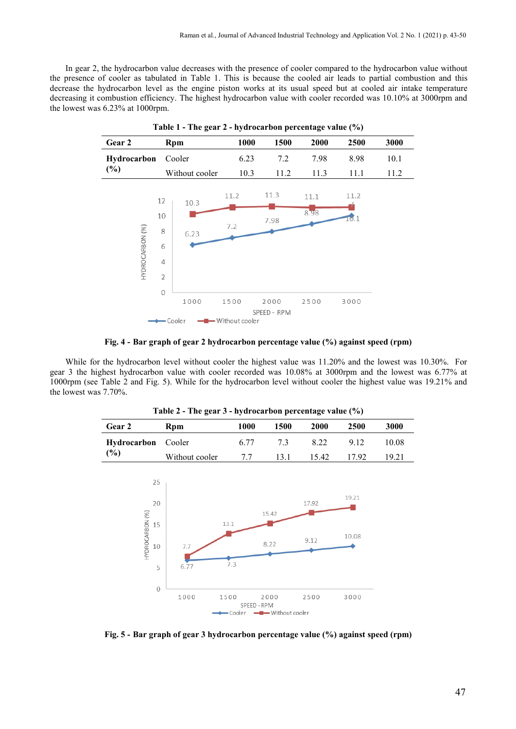In gear 2, the hydrocarbon value decreases with the presence of cooler compared to the hydrocarbon value without the presence of cooler as tabulated in Table 1. This is because the cooled air leads to partial combustion and this decrease the hydrocarbon level as the engine piston works at its usual speed but at cooled air intake temperature decreasing it combustion efficiency. The highest hydrocarbon value with cooler recorded was 10.10% at 3000rpm and the lowest was 6.23% at 1000rpm.



**Fig. 4 - Bar graph of gear 2 hydrocarbon percentage value (%) against speed (rpm)**

While for the hydrocarbon level without cooler the highest value was 11.20% and the lowest was 10.30%. For gear 3 the highest hydrocarbon value with cooler recorded was 10.08% at 3000rpm and the lowest was 6.77% at 1000rpm (see Table 2 and Fig. 5). While for the hydrocarbon level without cooler the highest value was 19.21% and the lowest was 7.70%.

| Table 2 - The gear 3 - hydrocarbon percentage value (%) |                |      |      |       |       |       |
|---------------------------------------------------------|----------------|------|------|-------|-------|-------|
| Gear 2                                                  | Rpm            | 1000 | 1500 | 2000  | 2500  | 3000  |
| <b>Hydrocarbon</b> Cooler<br>(%)                        |                | 6.77 | 73   | 8 2 2 | 9 1 2 | 10.08 |
|                                                         | Without cooler | 7.7  | 131  | 15.42 | 1792  | 19.21 |

| <b>R</b> pm               | 1000 | 1500 | 2000  | 2500  | 3000  |
|---------------------------|------|------|-------|-------|-------|
| <b>Hydrocarbon</b> Cooler | 6 77 | 73   | 8 2 2 | 9 1 2 | 10.08 |
| Without cooler            |      | 13.1 | 15.42 | 1792  | 19.21 |
|                           |      |      |       |       |       |



**Fig. 5 - Bar graph of gear 3 hydrocarbon percentage value (%) against speed (rpm)**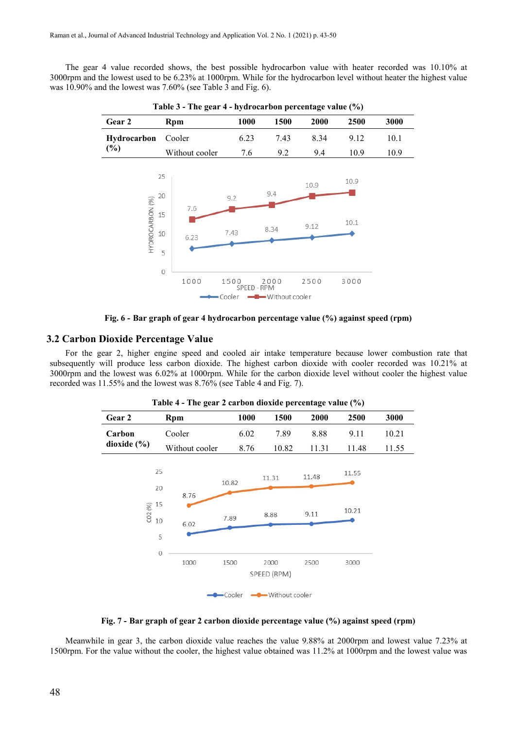The gear 4 value recorded shows, the best possible hydrocarbon value with heater recorded was 10.10% at 3000rpm and the lowest used to be 6.23% at 1000rpm. While for the hydrocarbon level without heater the highest value was 10.90% and the lowest was 7.60% (see Table 3 and Fig. 6).



**Table 3 - The gear 4 - hydrocarbon percentage value (%)**



#### **3.2 Carbon Dioxide Percentage Value**

For the gear 2, higher engine speed and cooled air intake temperature because lower combustion rate that subsequently will produce less carbon dioxide. The highest carbon dioxide with cooler recorded was 10.21% at 3000rpm and the lowest was 6.02% at 1000rpm. While for the carbon dioxide level without cooler the highest value recorded was 11.55% and the lowest was 8.76% (see Table 4 and Fig. 7).

| Gear 2                          |                | 1000  | - 17<br>1500                   | 2000  | 2500  | 3000  |
|---------------------------------|----------------|-------|--------------------------------|-------|-------|-------|
|                                 | Rpm            |       |                                |       |       |       |
| Carbon                          | Cooler         | 6.02  | 7.89                           | 8.88  | 9.11  | 10.21 |
| dioxide $(\% )$                 | Without cooler | 8.76  | 10.82                          | 11.31 | 11.48 | 11.55 |
| 25                              |                | 10.82 | 11.31                          | 11.48 | 11.55 |       |
| 20<br>15<br>CO <sub>2</sub> (%) | 8.76           |       | 8.88                           | 9.11  | 10.21 |       |
| 10                              | 6.02<br>5      | 7.89  |                                |       |       |       |
| $\overline{O}$                  | 1000           | 1500  | 2000                           | 2500  | 3000  |       |
|                                 | Cooler         |       | SPEED (RPM)<br>-Without cooler |       |       |       |

**Table 4 - The gear 2 carbon dioxide percentage value (%)**

**Fig. 7 - Bar graph of gear 2 carbon dioxide percentage value (%) against speed (rpm)**

Meanwhile in gear 3, the carbon dioxide value reaches the value 9.88% at 2000rpm and lowest value 7.23% at 1500rpm. For the value without the cooler, the highestvalue obtained was 11.2% at 1000rpm and the lowest value was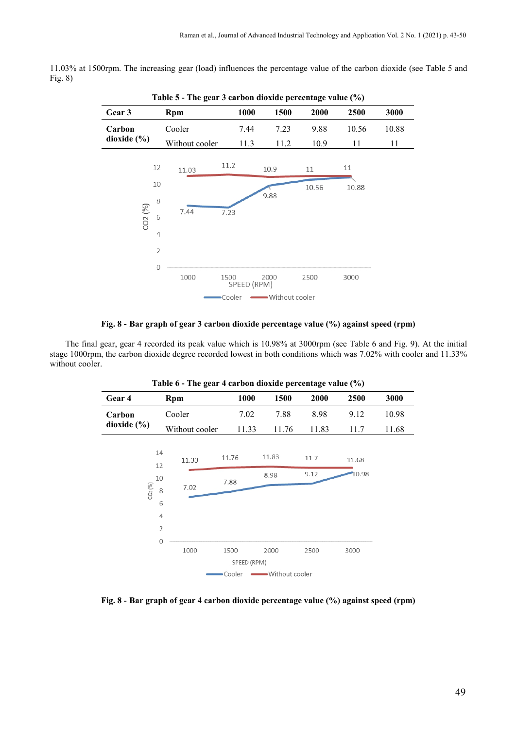11.03% at 1500rpm. The increasing gear (load) influences the percentage value of the carbon dioxide (see Table 5 and Fig. 8)

| Table 5 - The gear 3 carbon dioxide percentage value (%) |                |                |                     |                |       |       |       |
|----------------------------------------------------------|----------------|----------------|---------------------|----------------|-------|-------|-------|
| Gear 3                                                   |                | Rpm            | 1000                | 1500           | 2000  | 2500  | 3000  |
| Carbon                                                   |                | Cooler         | 7.44                | 7.23           | 9.88  | 10.56 | 10.88 |
| dioxide (%)                                              |                | Without cooler | 11.3                | 11.2           | 10.9  | 11    | 11    |
|                                                          | 12             | 11.03          | 11.2                | 10.9           | 11    | 11    |       |
|                                                          | 10             |                |                     |                | 10.56 | 10.88 |       |
|                                                          | 8              |                |                     | 9.88           |       |       |       |
| CO2 (%)                                                  | 6              | 7.44           | 7.23                |                |       |       |       |
|                                                          | 4              |                |                     |                |       |       |       |
|                                                          | $\overline{2}$ |                |                     |                |       |       |       |
|                                                          | $\overline{O}$ |                |                     |                |       |       |       |
|                                                          |                | 1000           | 1500<br>SPEED (RPM) | 2000           | 2500  | 3000  |       |
|                                                          |                |                | Cooler              | Without cooler |       |       |       |

#### **Fig. 8 - Bar graph of gear 3 carbon dioxide percentage value (%) against speed (rpm)**

The final gear, gear 4 recorded its peak value which is 10.98% at 3000rpm (see Table 6 and Fig. 9). At the initial stage 1000rpm, the carbon dioxide degree recorded lowest in both conditions which was 7.02% with cooler and 11.33% without cooler.

| Gear 4          | Rpm                    | 1000        | 1500            | 2000  | 2500  | 3000  |
|-----------------|------------------------|-------------|-----------------|-------|-------|-------|
| Carbon          | Cooler                 | 7.02        | 7.88            | 8.98  | 9.12  | 10.98 |
| dioxide $(\% )$ | Without cooler         | 11.33       | 11.76           | 11.83 | 11.7  | 11.68 |
|                 | 14<br>11.33<br>12      | 11.76       | 11.83           | 11.7  | 11.68 |       |
| CO2 (%)         | 10<br>7.02<br>8        | 7.88        | 8.98            | 9.12  | 10.98 |       |
|                 | 6<br>4                 |             |                 |       |       |       |
|                 | $\overline{2}$         |             |                 |       |       |       |
|                 | $\overline{0}$<br>1000 | 1500        | 2000            | 2500  | 3000  |       |
|                 |                        | SPEED (RPM) |                 |       |       |       |
|                 |                        | •Cooler     | -Without cooler |       |       |       |

**Table 6 - The gear 4 carbon dioxide percentage value (%)**

**Fig. 8 - Bar graph of gear 4 carbon dioxide percentage value (%) against speed (rpm)**